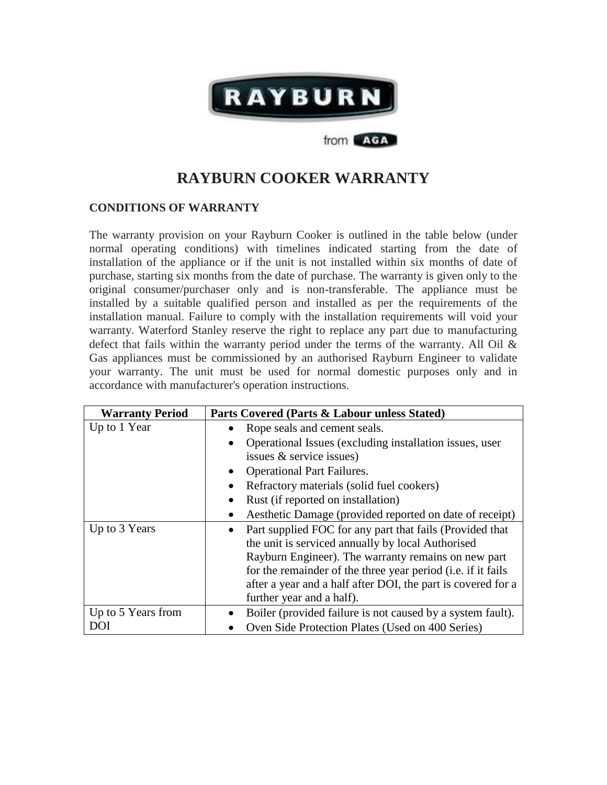

## **RAYBURN COOKER WARRANTY**

from **AGA** 

## **CONDITIONS OF WARRANTY**

The warranty provision on your Rayburn Cooker is outlined in the table below (under normal operating conditions) with timelines indicated starting from the date of installation of the appliance or if the unit is not installed within six months of date of purchase, starting six months from the date of purchase. The warranty is given only to the original consumer/purchaser only and is non-transferable. The appliance must be installed by a suitable qualified person and installed as per the requirements of the installation manual. Failure to comply with the installation requirements will void your warranty. Waterford Stanley reserve the right to replace any part due to manufacturing defect that fails within the warranty period under the terms of the warranty. All Oil & Gas appliances must be commissioned by an authorised Rayburn Engineer to validate your warranty. The unit must be used for normal domestic purposes only and in accordance with manufacturer's operation instructions.

| <b>Warranty Period</b> | Parts Covered (Parts & Labour unless Stated)                         |
|------------------------|----------------------------------------------------------------------|
| Up to 1 Year           | Rope seals and cement seals.                                         |
|                        | Operational Issues (excluding installation issues, user<br>$\bullet$ |
|                        | issues $\&$ service issues)                                          |
|                        | <b>Operational Part Failures.</b>                                    |
|                        | Refractory materials (solid fuel cookers)<br>$\bullet$               |
|                        | Rust (if reported on installation)                                   |
|                        | Aesthetic Damage (provided reported on date of receipt)              |
| Up to 3 Years          | Part supplied FOC for any part that fails (Provided that             |
|                        | the unit is serviced annually by local Authorised                    |
|                        | Rayburn Engineer). The warranty remains on new part                  |
|                        | for the remainder of the three year period ( <i>i.e.</i> if it fails |
|                        | after a year and a half after DOI, the part is covered for a         |
|                        | further year and a half).                                            |
| Up to 5 Years from     | Boiler (provided failure is not caused by a system fault).           |
| DOI                    | Oven Side Protection Plates (Used on 400 Series)                     |